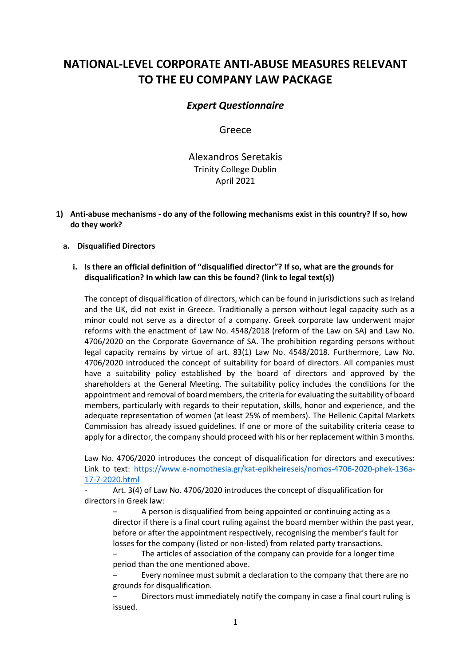# **NATIONAL-LEVEL CORPORATE ANTI-ABUSE MEASURES RELEVANT TO THE EU COMPANY LAW PACKAGE**

## *Expert Questionnaire*

Greece

Alexandros Seretakis Trinity College Dublin April 2021

**1) Anti-abuse mechanisms - do any of the following mechanisms exist in this country? If so, how do they work?**

### **a. Disqualified Directors**

### **i. Is there an official definition of "disqualified director"? If so, what are the grounds for disqualification? In which law can this be found? (link to legal text(s))**

The concept of disqualification of directors, which can be found in jurisdictions such as Ireland and the UK, did not exist in Greece. Traditionally a person without legal capacity such as a minor could not serve as a director of a company. Greek corporate law underwent major reforms with the enactment of Law No. 4548/2018 (reform of the Law on SA) and Law No. 4706/2020 on the Corporate Governance of SA. The prohibition regarding persons without legal capacity remains by virtue of art. 83(1) Law No. 4548/2018. Furthermore, Law No. 4706/2020 introduced the concept of suitability for board of directors. All companies must have a suitability policy established by the board of directors and approved by the shareholders at the General Meeting. The suitability policy includes the conditions for the appointment and removal of board members, the criteria for evaluating the suitability of board members, particularly with regards to their reputation, skills, honor and experience, and the adequate representation of women (at least 25% of members). The Hellenic Capital Markets Commission has already issued guidelines. If one or more of the suitability criteria cease to apply for a director, the company should proceed with his or her replacement within 3 months.

Law No. 4706/2020 introduces the concept of disqualification for directors and executives: Link to text: [https://www.e-nomothesia.gr/kat-epikheireseis/nomos-4706-2020-phek-136a-](https://www.e-nomothesia.gr/kat-epikheireseis/nomos-4706-2020-phek-136a-17-7-2020.html)[17-7-2020.html](https://www.e-nomothesia.gr/kat-epikheireseis/nomos-4706-2020-phek-136a-17-7-2020.html)

Art. 3(4) of Law No. 4706/2020 introduces the concept of disqualification for directors in Greek law:

A person is disqualified from being appointed or continuing acting as a director if there is a final court ruling against the board member within the past year, before or after the appointment respectively, recognising the member's fault for losses for the company (listed or non-listed) from related party transactions.

The articles of association of the company can provide for a longer time period than the one mentioned above.

‒ Every nominee must submit a declaration to the company that there are no grounds for disqualification.

‒ Directors must immediately notify the company in case a final court ruling is issued.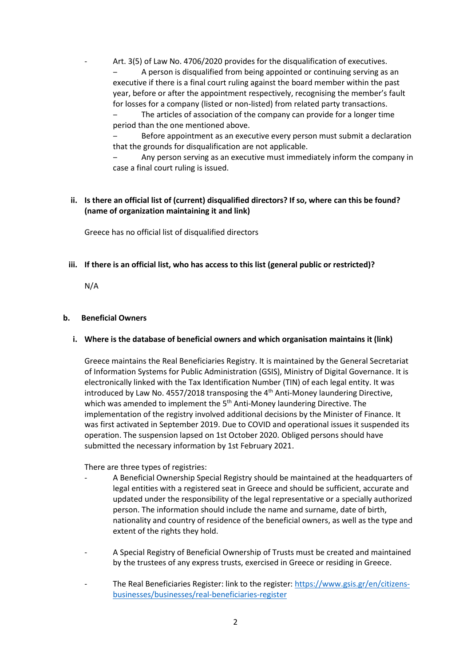Art. 3(5) of Law No. 4706/2020 provides for the disqualification of executives. A person is disqualified from being appointed or continuing serving as an executive if there is a final court ruling against the board member within the past year, before or after the appointment respectively, recognising the member's fault for losses for a company (listed or non-listed) from related party transactions.

The articles of association of the company can provide for a longer time period than the one mentioned above.

Before appointment as an executive every person must submit a declaration that the grounds for disqualification are not applicable.

‒ Any person serving as an executive must immediately inform the company in case a final court ruling is issued.

### **ii. Is there an official list of (current) disqualified directors? If so, where can this be found? (name of organization maintaining it and link)**

Greece has no official list of disqualified directors

**iii. If there is an official list, who has access to this list (general public or restricted)?**

N/A

### **b. Beneficial Owners**

**i. Where is the database of beneficial owners and which organisation maintains it (link)**

Greece maintains the Real Beneficiaries Registry. It is maintained by the General Secretariat of Information Systems for Public Administration (GSIS), Ministry of Digital Governance. It is electronically linked with the Tax Identification Number (TIN) of each legal entity. It was introduced by Law No. 4557/2018 transposing the  $4<sup>th</sup>$  Anti-Money laundering Directive, which was amended to implement the 5<sup>th</sup> Anti-Money laundering Directive. The implementation of the registry involved additional decisions by the Minister of Finance. It was first activated in September 2019. Due to COVID and operational issues it suspended its operation. The suspension lapsed on 1st October 2020. Obliged persons should have submitted the necessary information by 1st February 2021.

There are three types of registries:

- A Beneficial Ownership Special Registry should be maintained at the headquarters of legal entities with a registered seat in Greece and should be sufficient, accurate and updated under the responsibility of the legal representative or a specially authorized person. The information should include the name and surname, date of birth, nationality and country of residence of the beneficial owners, as well as the type and extent of the rights they hold.
- A Special Registry of Beneficial Ownership of Trusts must be created and maintained by the trustees of any express trusts, exercised in Greece or residing in Greece.
- The Real Beneficiaries Register: link to the register[: https://www.gsis.gr/en/citizens](https://www.gsis.gr/en/citizens-businesses/businesses/real-beneficiaries-register)[businesses/businesses/real-beneficiaries-register](https://www.gsis.gr/en/citizens-businesses/businesses/real-beneficiaries-register)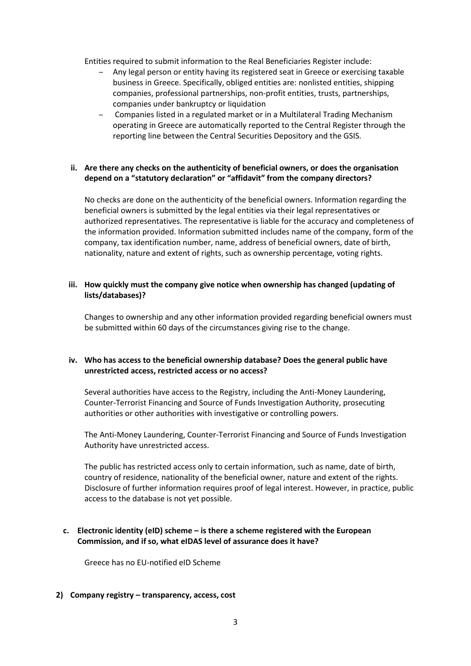Entities required to submit information to the Real Beneficiaries Register include:

- ‒ Any legal person or entity having its registered seat in Greece or exercising taxable business in Greece. Specifically, obliged entities are: nonlisted entities, shipping companies, professional partnerships, non-profit entities, trusts, partnerships, companies under bankruptcy or liquidation
- Companies listed in a regulated market or in a Multilateral Trading Mechanism operating in Greece are automatically reported to the Central Register through the reporting line between the Central Securities Depository and the GSIS.

### **ii. Are there any checks on the authenticity of beneficial owners, or does the organisation depend on a "statutory declaration" or "affidavit" from the company directors?**

No checks are done on the authenticity of the beneficial owners. Information regarding the beneficial owners is submitted by the legal entities via their legal representatives or authorized representatives. The representative is liable for the accuracy and completeness of the information provided. Information submitted includes name of the company, form of the company, tax identification number, name, address of beneficial owners, date of birth, nationality, nature and extent of rights, such as ownership percentage, voting rights.

### **iii. How quickly must the company give notice when ownership has changed (updating of lists/databases)?**

Changes to ownership and any other information provided regarding beneficial owners must be submitted within 60 days of the circumstances giving rise to the change.

### **iv. Who has access to the beneficial ownership database? Does the general public have unrestricted access, restricted access or no access?**

Several authorities have access to the Registry, including the Anti-Money Laundering, Counter-Terrorist Financing and Source of Funds Investigation Authority, prosecuting authorities or other authorities with investigative or controlling powers.

The Anti-Money Laundering, Counter-Terrorist Financing and Source of Funds Investigation Authority have unrestricted access.

The public has restricted access only to certain information, such as name, date of birth, country of residence, nationality of the beneficial owner, nature and extent of the rights. Disclosure of further information requires proof of legal interest. However, in practice, public access to the database is not yet possible.

### **c. Electronic identity (eID) scheme – is there a scheme registered with the European Commission, and if so, what eIDAS level of assurance does it have?**

Greece has no EU-notified eID Scheme

### **2) Company registry – transparency, access, cost**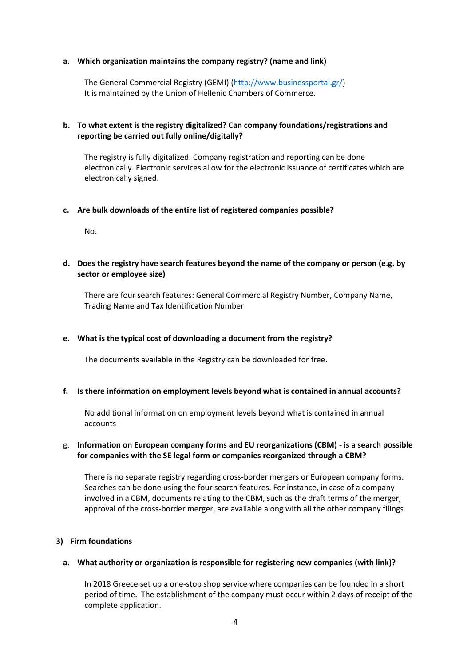#### **a. Which organization maintains the company registry? (name and link)**

The General Commercial Registry (GEMI) [\(http://www.businessportal.gr/\)](http://www.businessportal.gr/) It is maintained by the Union of Hellenic Chambers of Commerce.

### **b. To what extent is the registry digitalized? Can company foundations/registrations and reporting be carried out fully online/digitally?**

The registry is fully digitalized. Company registration and reporting can be done electronically. Electronic services allow for the electronic issuance of certificates which are electronically signed.

#### **c. Are bulk downloads of the entire list of registered companies possible?**

No.

### **d. Does the registry have search features beyond the name of the company or person (e.g. by sector or employee size)**

There are four search features: General Commercial Registry Number, Company Name, Trading Name and Tax Identification Number

### **e. What is the typical cost of downloading a document from the registry?**

The documents available in the Registry can be downloaded for free.

#### **f. Is there information on employment levels beyond what is contained in annual accounts?**

No additional information on employment levels beyond what is contained in annual accounts

### g. **Information on European company forms and EU reorganizations (CBM) - is a search possible for companies with the SE legal form or companies reorganized through a CBM?**

There is no separate registry regarding cross-border mergers or European company forms. Searches can be done using the four search features. For instance, in case of a company involved in a CBM, documents relating to the CBM, such as the draft terms of the merger, approval of the cross-border merger, are available along with all the other company filings

### **3) Firm foundations**

#### **a. What authority or organization is responsible for registering new companies (with link)?**

In 2018 Greece set up a one-stop shop service where companies can be founded in a short period of time. The establishment of the company must occur within 2 days of receipt of the complete application.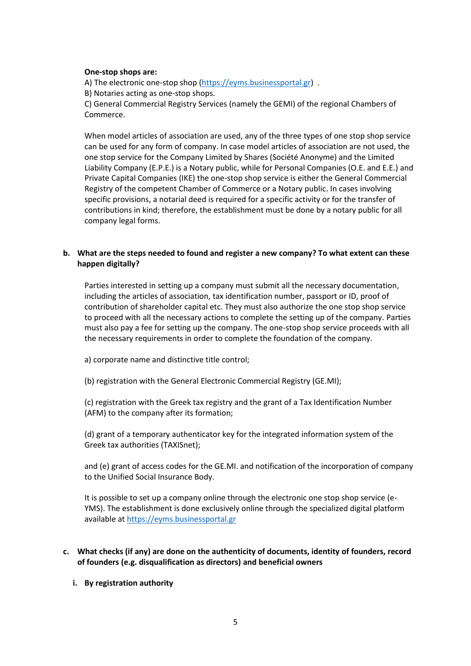#### **One-stop shops are:**

A) The electronic one-stop shop [\(https://eyms.businessportal.gr\)](https://eyms.businessportal.gr/) .

B) Notaries acting as one-stop shops.

C) General Commercial Registry Services (namely the GEMI) of the regional Chambers of Commerce.

When model articles of association are used, any of the three types of one stop shop service can be used for any form of company. In case model articles of association are not used, the one stop service for the Company Limited by Shares (Société Anonyme) and the Limited Liability Company (E.P.E.) is a Notary public, while for Personal Companies (O.E. and E.E.) and Private Capital Companies (IKE) the one-stop shop service is either the General Commercial Registry of the competent Chamber of Commerce or a Notary public. In cases involving specific provisions, a notarial deed is required for a specific activity or for the transfer of contributions in kind; therefore, the establishment must be done by a notary public for all company legal forms.

### **b. What are the steps needed to found and register a new company? To what extent can these happen digitally?**

Parties interested in setting up a company must submit all the necessary documentation, including the articles of association, tax identification number, passport or ID, proof of contribution of shareholder capital etc. They must also authorize the one stop shop service to proceed with all the necessary actions to complete the setting up of the company. Parties must also pay a fee for setting up the company. The one-stop shop service proceeds with all the necessary requirements in order to complete the foundation of the company.

a) corporate name and distinctive title control;

(b) registration with the General Electronic Commercial Registry (GE.MI);

(c) registration with the Greek tax registry and the grant of a Tax Identification Number (AFM) to the company after its formation;

(d) grant of a temporary authenticator key for the integrated information system of the Greek tax authorities (TAXISnet);

and (e) grant of access codes for the GE.MI. and notification of the incorporation of company to the Unified Social Insurance Body.

It is possible to set up a company online through the electronic one stop shop service (e-YMS). The establishment is done exclusively online through the specialized digital platform available at [https://eyms.businessportal.gr](https://eyms.businessportal.gr/)

### **c. What checks (if any) are done on the authenticity of documents, identity of founders, record of founders (e.g. disqualification as directors) and beneficial owners**

### **i. By registration authority**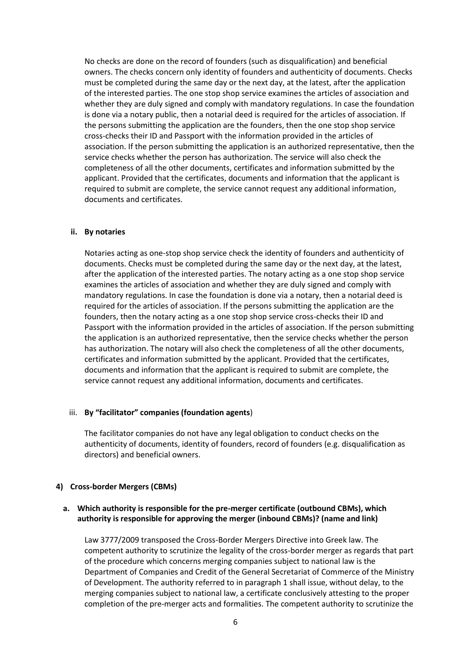No checks are done on the record of founders (such as disqualification) and beneficial owners. The checks concern only identity of founders and authenticity of documents. Checks must be completed during the same day or the next day, at the latest, after the application of the interested parties. The one stop shop service examines the articles of association and whether they are duly signed and comply with mandatory regulations. In case the foundation is done via a notary public, then a notarial deed is required for the articles of association. If the persons submitting the application are the founders, then the one stop shop service cross-checks their ID and Passport with the information provided in the articles of association. If the person submitting the application is an authorized representative, then the service checks whether the person has authorization. The service will also check the completeness of all the other documents, certificates and information submitted by the applicant. Provided that the certificates, documents and information that the applicant is required to submit are complete, the service cannot request any additional information, documents and certificates.

#### **ii. By notaries**

Notaries acting as one-stop shop service check the identity of founders and authenticity of documents. Checks must be completed during the same day or the next day, at the latest, after the application of the interested parties. The notary acting as a one stop shop service examines the articles of association and whether they are duly signed and comply with mandatory regulations. In case the foundation is done via a notary, then a notarial deed is required for the articles of association. If the persons submitting the application are the founders, then the notary acting as a one stop shop service cross-checks their ID and Passport with the information provided in the articles of association. If the person submitting the application is an authorized representative, then the service checks whether the person has authorization. The notary will also check the completeness of all the other documents, certificates and information submitted by the applicant. Provided that the certificates, documents and information that the applicant is required to submit are complete, the service cannot request any additional information, documents and certificates.

### iii. **By "facilitator" companies (foundation agents**)

The facilitator companies do not have any legal obligation to conduct checks on the authenticity of documents, identity of founders, record of founders (e.g. disqualification as directors) and beneficial owners.

### **4) Cross-border Mergers (CBMs)**

### **a. Which authority is responsible for the pre-merger certificate (outbound CBMs), which authority is responsible for approving the merger (inbound CBMs)? (name and link)**

Law 3777/2009 transposed the Cross-Border Mergers Directive into Greek law. The competent authority to scrutinize the legality of the cross-border merger as regards that part of the procedure which concerns merging companies subject to national law is the Department of Companies and Credit of the General Secretariat of Commerce of the Ministry of Development. The authority referred to in paragraph 1 shall issue, without delay, to the merging companies subject to national law, a certificate conclusively attesting to the proper completion of the pre-merger acts and formalities. The competent authority to scrutinize the